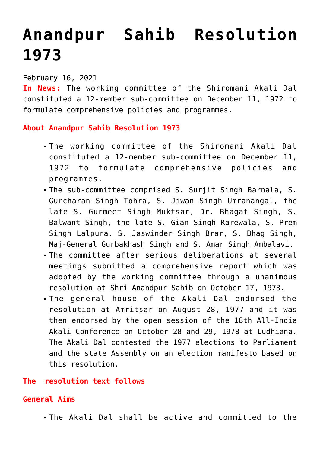# **[Anandpur Sahib Resolution](https://journalsofindia.com/anandpur-sahib-resolution-1973/) [1973](https://journalsofindia.com/anandpur-sahib-resolution-1973/)**

### February 16, 2021

**In News:** The working committee of the Shiromani Akali Dal constituted a 12-member sub-committee on December 11, 1972 to formulate comprehensive policies and programmes.

#### **About Anandpur Sahib Resolution 1973**

- The working committee of the Shiromani Akali Dal constituted a 12-member sub-committee on December 11, 1972 to formulate comprehensive policies and programmes.
- The sub-committee comprised S. Surjit Singh Barnala, S. Gurcharan Singh Tohra, S. Jiwan Singh Umranangal, the late S. Gurmeet Singh Muktsar, Dr. Bhagat Singh, S. Balwant Singh, the late S. Gian Singh Rarewala, S. Prem Singh Lalpura. S. Jaswinder Singh Brar, S. Bhag Singh, Maj-General Gurbakhash Singh and S. Amar Singh Ambalavi.
- The committee after serious deliberations at several meetings submitted a comprehensive report which was adopted by the working committee through a unanimous resolution at Shri Anandpur Sahib on October 17, 1973.
- The general house of the Akali Dal endorsed the resolution at Amritsar on August 28, 1977 and it was then endorsed by the open session of the 18th All-India Akali Conference on October 28 and 29, 1978 at Ludhiana. The Akali Dal contested the 1977 elections to Parliament and the state Assembly on an election manifesto based on this resolution.

### **The resolution text follows**

#### **General Aims**

The Akali Dal shall be active and committed to the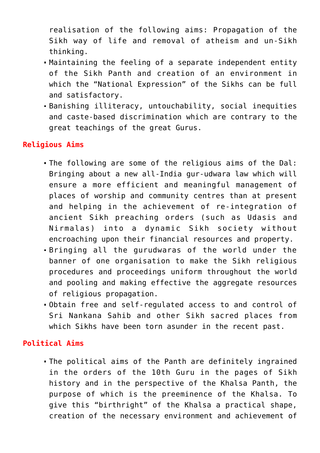realisation of the following aims: Propagation of the Sikh way of life and removal of atheism and un-Sikh thinking.

- Maintaining the feeling of a separate independent entity of the Sikh Panth and creation of an environment in which the "National Expression" of the Sikhs can be full and satisfactory.
- Banishing illiteracy, untouchability, social inequities and caste-based discrimination which are contrary to the great teachings of the great Gurus.

## **Religious Aims**

- The following are some of the religious aims of the Dal: Bringing about a new all-India gur-udwara law which will ensure a more efficient and meaningful management of places of worship and community centres than at present and helping in the achievement of re-integration of ancient Sikh preaching orders (such as Udasis and Nirmalas) into a dynamic Sikh society without encroaching upon their financial resources and property.
- Bringing all the gurudwaras of the world under the banner of one organisation to make the Sikh religious procedures and proceedings uniform throughout the world and pooling and making effective the aggregate resources of religious propagation.
- Obtain free and self-regulated access to and control of Sri Nankana Sahib and other Sikh sacred places from which Sikhs have been torn asunder in the recent past.

### **Political Aims**

The political aims of the Panth are definitely ingrained in the orders of the 10th Guru in the pages of Sikh history and in the perspective of the Khalsa Panth, the purpose of which is the preeminence of the Khalsa. To give this "birthright" of the Khalsa a practical shape, creation of the necessary environment and achievement of